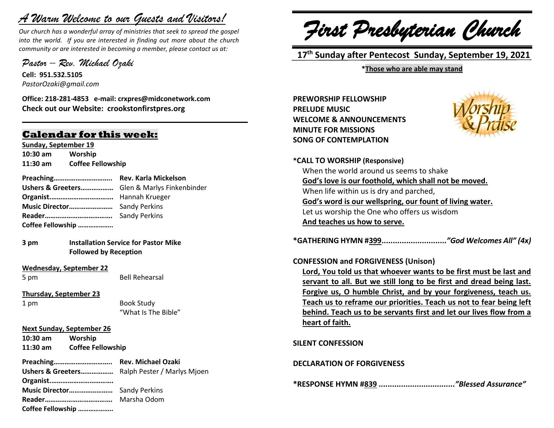# *A Warm Welcome to our Guests and Visitors!*

*Our church has a wonderful array of ministries that seek to spread the gospel into the world. If you are interested in finding out more about the church community or are interested in becoming a member, please contact us at:*

**\_\_\_\_\_\_\_\_\_\_\_\_\_\_\_\_\_\_\_\_\_\_\_\_\_\_\_\_\_\_\_\_\_\_\_\_\_\_\_\_\_\_\_\_\_\_\_\_\_\_\_\_\_\_**

*Pastor – Rev. Michael Ozaki* 

**Cell: 951.532.5105** *PastorOzaki@gmail.com*

**Office: 218-281-4853 e-mail: crxpres@midconetwork.com Check out our Website: crookstonfirstpres.org**

### **Calendar for this week:**

**Sunday, September 19 10:30 am Worship 11:30 am Coffee Fellowship**

- **Preaching………………………….. Rev. Karla Mickelson Ushers & Greeters………………** Glen & Marlys Finkenbinder **Organist.…………………………….** Hannah Krueger **Music Director……………………** Sandy Perkins **Reader……………………………….** Sandy Perkins **Coffee Fellowship ………………..**
- **3 pm Installation Service for Pastor Mike Followed by Reception**
- **Wednesday, September 22**

5 pm Bell Rehearsal

**Thursday, September 23**

1 pm Book Study "What Is The Bible"

### **Next Sunday, September 26**

**10:30 am Worship 11:30 am Coffee Fellowship**

**Preaching………………………….. Rev. Michael Ozaki Ushers & Greeters………………** Ralph Pester / Marlys Mjoen **Organist.……………………………. Music Director……………………** Sandy Perkins **Reader……………………………….** Marsha Odom **Coffee Fellowship ………………..**

*First Presbyterian Church*

 **17 th Sunday after Pentecost Sunday, September 19, 2021**

**\*Those who are able may stand**

**PREWORSHIP FELLOWSHIP PRELUDE MUSIC WELCOME & ANNOUNCEMENTS MINUTE FOR MISSIONS SONG OF CONTEMPLATION**



**\*CALL TO WORSHIP (Responsive)** When the world around us seems to shake **God's love is our foothold, which shall not be moved.** When life within us is dry and parched, **God's word is our wellspring, our fount of living water.** Let us worship the One who offers us wisdom **And teaches us how to serve.**

**\*GATHERING HYMN #399.............................***"God Welcomes All" (4x)*

### **CONFESSION and FORGIVENESS (Unison)**

**Lord, You told us that whoever wants to be first must be last and servant to all. But we still long to be first and dread being last. Forgive us, O humble Christ, and by your forgiveness, teach us. Teach us to reframe our priorities. Teach us not to fear being left behind. Teach us to be servants first and let our lives flow from a heart of faith.**

**SILENT CONFESSION**

**DECLARATION OF FORGIVENESS**

**\*RESPONSE HYMN #839** *.................................."Blessed Assurance"*